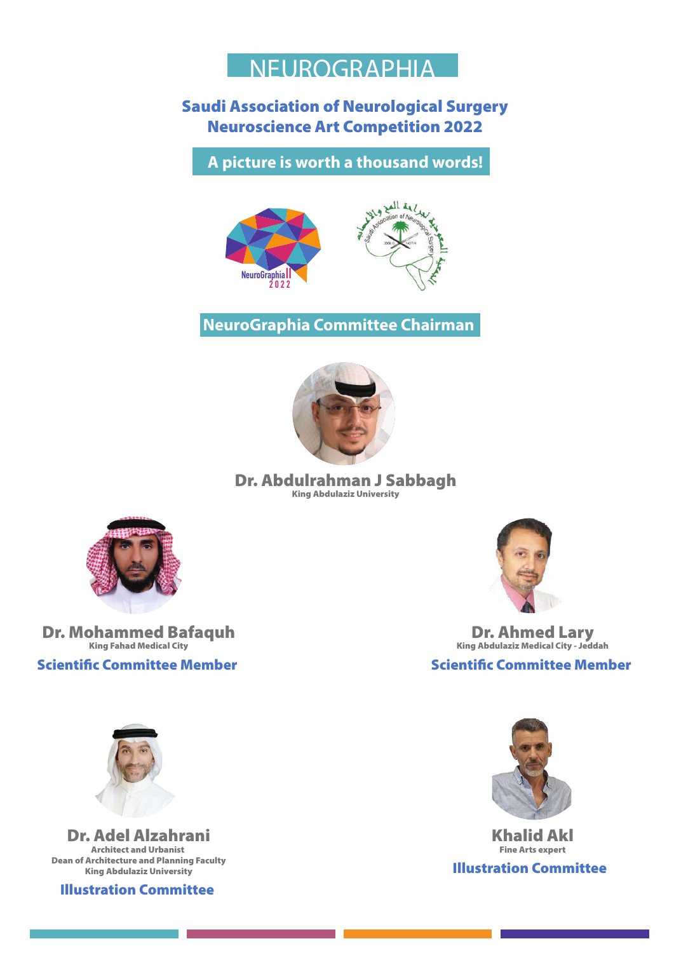

#### **Saudi Association of Neurological Surgery Neuroscience Art Competition 2022**

A picture is worth a thousand words!



NeuroGraphia Committee Chairman



Dr. Abdulrahman J Sabbagh **King Abdulaziz University** 



**Dr. Mohammed Bafaquh King Fahad Medical City** 

**Scientific Committee Member** 



**Dr. Ahmed Lary** King Abdulaziz Medical City - Jeddah

**Scientific Committee Member** 



**Khalid Akl Fine Arts expert Illustration Committee** 



**Dr. Adel Alzahrani Architect and Urbanist Dean of Architecture and Planning Faculty King Abdulaziz University** 

**Illustration Committee**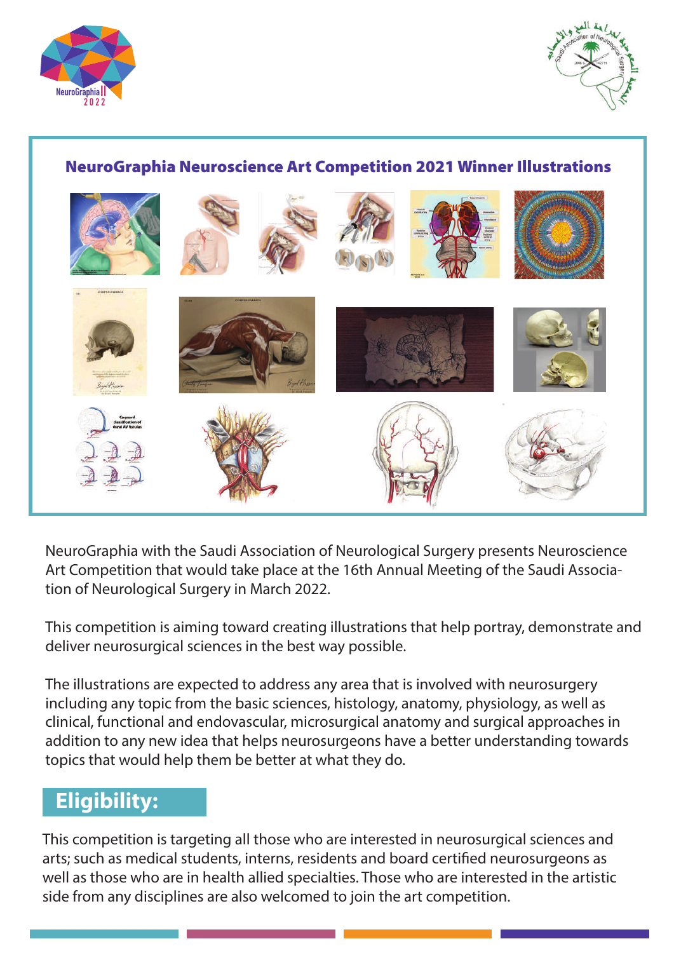



#### **NeuroGraphia Neuroscience Art Competition 2021 Winner Illustrations**



NeuroGraphia with the Saudi Association of Neurological Surgery presents Neuroscience Art Competition that would take place at the 16th Annual Meeting of the Saudi Association of Neurological Surgery in March 2022.

This competition is aiming toward creating illustrations that help portray, demonstrate and deliver neurosurgical sciences in the best way possible.

The illustrations are expected to address any area that is involved with neurosurgery including any topic from the basic sciences, histology, anatomy, physiology, as well as clinical, functional and endovascular, microsurgical anatomy and surgical approaches in addition to any new idea that helps neurosurgeons have a better understanding towards topics that would help them be better at what they do.

#### **Eligibility:**

This competition is targeting all those who are interested in neurosurgical sciences and arts; such as medical students, interns, residents and board certified neurosurgeons as well as those who are in health allied specialties. Those who are interested in the artistic side from any disciplines are also welcomed to join the art competition.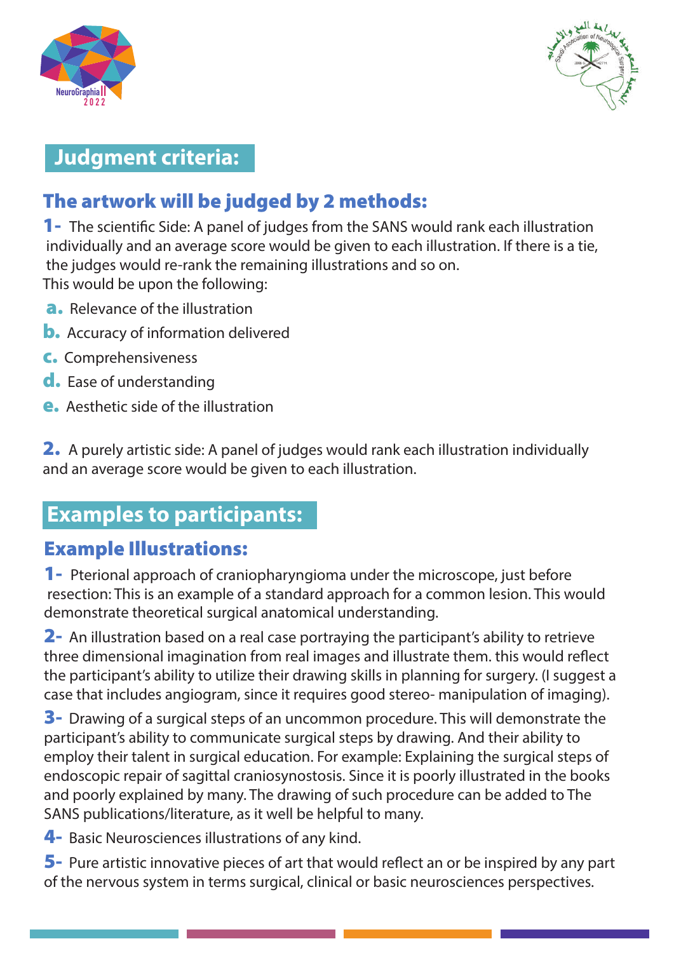



### **Judgment criteria:**

## The artwork will be judged by 2 methods:

**1** The scientific Side: A panel of judges from the SANS would rank each illustration individually and an average score would be given to each illustration. If there is a tie, the judges would re-rank the remaining illustrations and so on. This would be upon the following:

- **a.** Relevance of the illustration
- **b.** Accuracy of information delivered
- **C.** Comprehensiveness
- d. Ease of understanding
- Aesthetic side of the illustration

2. A purely artistic side: A panel of judges would rank each illustration individually and an average score would be given to each illustration.

## **Examples to participants:**

#### **Example Illustrations:**

**1** Pterional approach of craniopharyngioma under the microscope, just before resection: This is an example of a standard approach for a common lesion. This would demonstrate theoretical surgical anatomical understanding.

2- An illustration based on a real case portraying the participant's ability to retrieve three dimensional imagination from real images and illustrate them. this would reflect the participant's ability to utilize their drawing skills in planning for surgery. (I suggest a case that includes angiogram, since it requires good stereo- manipulation of imaging).

**3** Drawing of a surgical steps of an uncommon procedure. This will demonstrate the participant's ability to communicate surgical steps by drawing. And their ability to employ their talent in surgical education. For example: Explaining the surgical steps of endoscopic repair of sagittal craniosynostosis. Since it is poorly illustrated in the books and poorly explained by many. The drawing of such procedure can be added to The SANS publications/literature, as it well be helpful to many.

4 - Basic Neurosciences illustrations of any kind.

 $5$ - Pure artistic innovative pieces of art that would reflect an or be inspired by any part of the nervous system in terms surgical, clinical or basic neurosciences perspectives.